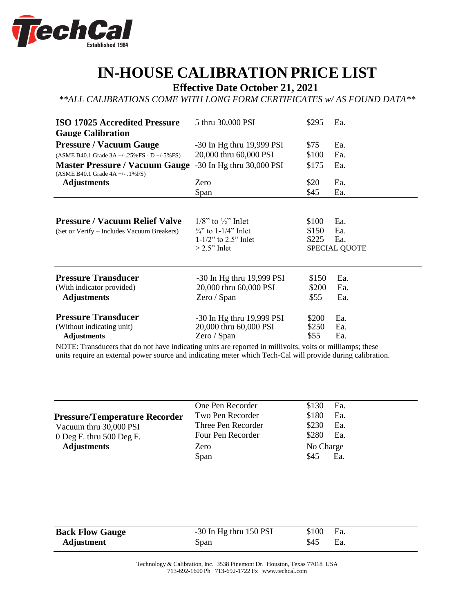

## **IN-HOUSE CALIBRATION PRICE LIST**

**Effective Date October 21, 2021**

*\*\*ALL CALIBRATIONS COME WITH LONG FORM CERTIFICATES w/ AS FOUND DATA\*\**

| <b>ISO 17025 Accredited Pressure</b>                                                | 5 thru 30,000 PSI                                                                                              | \$295                   | Ea.                                       |
|-------------------------------------------------------------------------------------|----------------------------------------------------------------------------------------------------------------|-------------------------|-------------------------------------------|
| <b>Gauge Calibration</b>                                                            |                                                                                                                |                         |                                           |
| <b>Pressure / Vacuum Gauge</b>                                                      | $-30$ In Hg thru 19,999 PSI                                                                                    | \$75                    | Ea.                                       |
| (ASME B40.1 Grade $3A + (-.25\%$ FS - D $+/-5\%$ FS)                                | 20,000 thru 60,000 PSI                                                                                         | \$100                   | Ea.                                       |
| <b>Master Pressure / Vacuum Gauge</b><br>$(ASME B40.1 Grade 4A +/- .1% FS)$         | -30 In Hg thru 30,000 PSI                                                                                      | \$175                   | Ea.                                       |
| <b>Adjustments</b>                                                                  | Zero                                                                                                           | \$20                    | Ea.                                       |
|                                                                                     | Span                                                                                                           | \$45                    | Ea.                                       |
| <b>Pressure / Vacuum Relief Valve</b><br>(Set or Verify – Includes Vacuum Breakers) | $1/8$ " to $\frac{1}{2}$ " Inlet<br>$\frac{3}{4}$ to 1-1/4" Inlet<br>$1-1/2$ " to 2.5" Inlet<br>$>2.5$ " Inlet | \$100<br>\$150<br>\$225 | Ea.<br>Ea.<br>Ea.<br><b>SPECIAL QUOTE</b> |
| <b>Pressure Transducer</b><br>(With indicator provided)<br><b>Adjustments</b>       | $-30$ In Hg thru 19,999 PSI<br>20,000 thru 60,000 PSI<br>Zero / Span                                           | \$150<br>\$200<br>\$55  | Ea.<br>Ea.<br>Ea.                         |
| <b>Pressure Transducer</b><br>(Without indicating unit)<br><b>Adjustments</b>       | $-30$ In Hg thru 19,999 PSI<br>20,000 thru 60,000 PSI<br>Zero / Span                                           | \$200<br>\$250<br>\$55  | Ea.<br>Ea.<br>Ea.                         |

NOTE: Transducers that do not have indicating units are reported in millivolts, volts or milliamps; these units require an external power source and indicating meter which Tech-Cal will provide during calibration.

|                                      | One Pen Recorder   | \$130<br>Ea. |
|--------------------------------------|--------------------|--------------|
| <b>Pressure/Temperature Recorder</b> | Two Pen Recorder   | \$180<br>Ea. |
| Vacuum thru 30,000 PSI               | Three Pen Recorder | \$230<br>Ea. |
| 0 Deg F. thru $500$ Deg F.           | Four Pen Recorder  | \$280<br>Ea. |
| <b>Adjustments</b>                   | Zero               | No Charge    |
|                                      | Span               | \$45<br>Ea.  |
|                                      |                    |              |

| <b>Back Flow Gauge</b> | $-30$ In Hg thru 150 PSI | \$100 | $\mathcal{E}$ Ea. |
|------------------------|--------------------------|-------|-------------------|
| Adjustment             | Span                     | \$45  | Ea.               |

Technology & Calibration, Inc. 3538 Pinemont Dr. Houston, Texas 77018 USA 713-692-1600 Ph 713-692-1722 Fx [www.techcal.com](http://www.techcal.com/)